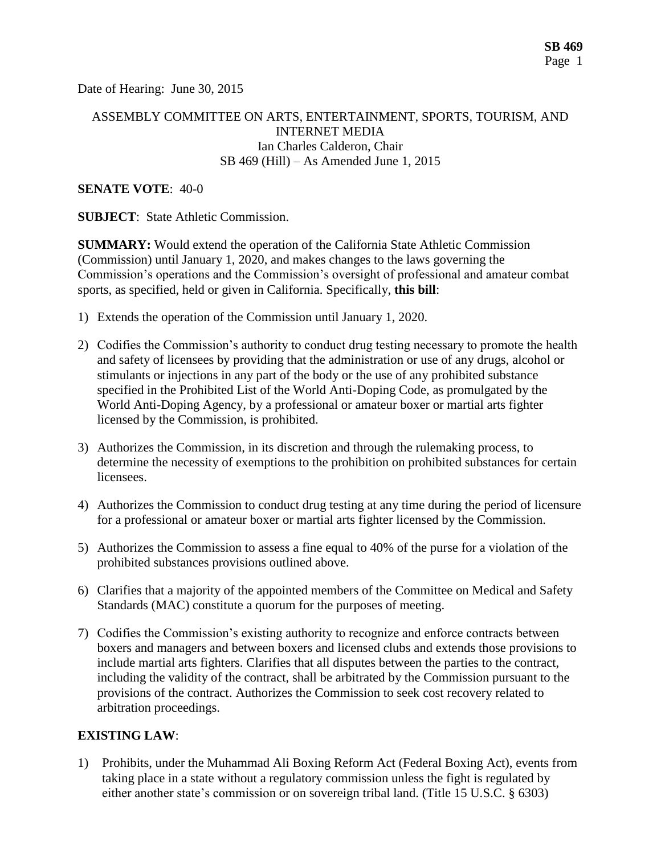Date of Hearing: June 30, 2015

## ASSEMBLY COMMITTEE ON ARTS, ENTERTAINMENT, SPORTS, TOURISM, AND INTERNET MEDIA Ian Charles Calderon, Chair SB 469 (Hill) – As Amended June 1, 2015

#### **SENATE VOTE**: 40-0

**SUBJECT:** State Athletic Commission.

**SUMMARY:** Would extend the operation of the California State Athletic Commission (Commission) until January 1, 2020, and makes changes to the laws governing the Commission's operations and the Commission's oversight of professional and amateur combat sports, as specified, held or given in California. Specifically, **this bill**:

- 1) Extends the operation of the Commission until January 1, 2020.
- 2) Codifies the Commission's authority to conduct drug testing necessary to promote the health and safety of licensees by providing that the administration or use of any drugs, alcohol or stimulants or injections in any part of the body or the use of any prohibited substance specified in the Prohibited List of the World Anti-Doping Code, as promulgated by the World Anti-Doping Agency, by a professional or amateur boxer or martial arts fighter licensed by the Commission, is prohibited.
- 3) Authorizes the Commission, in its discretion and through the rulemaking process, to determine the necessity of exemptions to the prohibition on prohibited substances for certain licensees.
- 4) Authorizes the Commission to conduct drug testing at any time during the period of licensure for a professional or amateur boxer or martial arts fighter licensed by the Commission.
- 5) Authorizes the Commission to assess a fine equal to 40% of the purse for a violation of the prohibited substances provisions outlined above.
- 6) Clarifies that a majority of the appointed members of the Committee on Medical and Safety Standards (MAC) constitute a quorum for the purposes of meeting.
- 7) Codifies the Commission's existing authority to recognize and enforce contracts between boxers and managers and between boxers and licensed clubs and extends those provisions to include martial arts fighters. Clarifies that all disputes between the parties to the contract, including the validity of the contract, shall be arbitrated by the Commission pursuant to the provisions of the contract. Authorizes the Commission to seek cost recovery related to arbitration proceedings.

## **EXISTING LAW**:

1) Prohibits, under the Muhammad Ali Boxing Reform Act (Federal Boxing Act), events from taking place in a state without a regulatory commission unless the fight is regulated by either another state's commission or on sovereign tribal land. (Title 15 U.S.C. § 6303)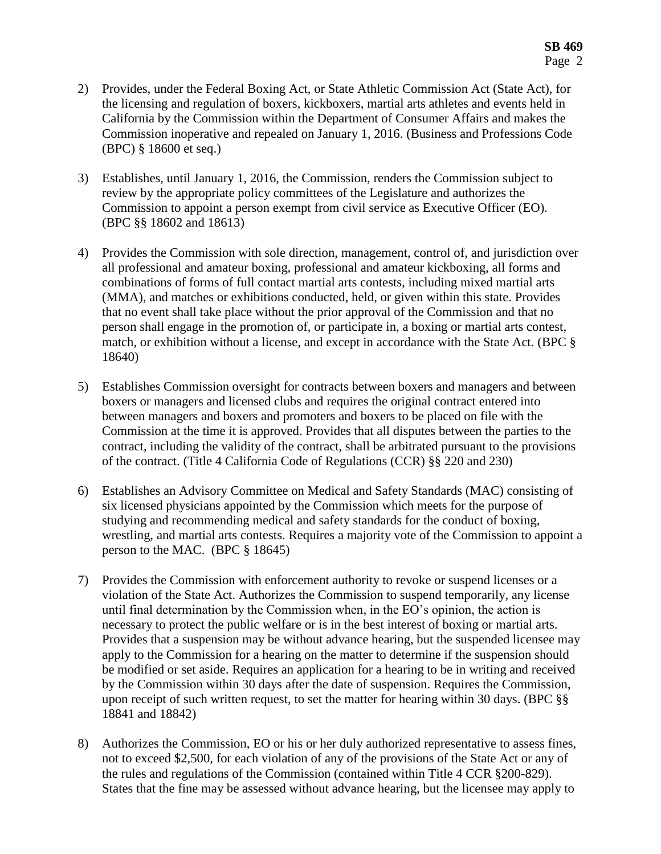- 2) Provides, under the Federal Boxing Act, or State Athletic Commission Act (State Act), for the licensing and regulation of boxers, kickboxers, martial arts athletes and events held in California by the Commission within the Department of Consumer Affairs and makes the Commission inoperative and repealed on January 1, 2016. (Business and Professions Code (BPC) § 18600 et seq.)
- 3) Establishes, until January 1, 2016, the Commission, renders the Commission subject to review by the appropriate policy committees of the Legislature and authorizes the Commission to appoint a person exempt from civil service as Executive Officer (EO). (BPC §§ 18602 and 18613)
- 4) Provides the Commission with sole direction, management, control of, and jurisdiction over all professional and amateur boxing, professional and amateur kickboxing, all forms and combinations of forms of full contact martial arts contests, including mixed martial arts (MMA), and matches or exhibitions conducted, held, or given within this state. Provides that no event shall take place without the prior approval of the Commission and that no person shall engage in the promotion of, or participate in, a boxing or martial arts contest, match, or exhibition without a license, and except in accordance with the State Act. (BPC § 18640)
- 5) Establishes Commission oversight for contracts between boxers and managers and between boxers or managers and licensed clubs and requires the original contract entered into between managers and boxers and promoters and boxers to be placed on file with the Commission at the time it is approved. Provides that all disputes between the parties to the contract, including the validity of the contract, shall be arbitrated pursuant to the provisions of the contract. (Title 4 California Code of Regulations (CCR) §§ 220 and 230)
- 6) Establishes an Advisory Committee on Medical and Safety Standards (MAC) consisting of six licensed physicians appointed by the Commission which meets for the purpose of studying and recommending medical and safety standards for the conduct of boxing, wrestling, and martial arts contests. Requires a majority vote of the Commission to appoint a person to the MAC. (BPC § 18645)
- 7) Provides the Commission with enforcement authority to revoke or suspend licenses or a violation of the State Act. Authorizes the Commission to suspend temporarily, any license until final determination by the Commission when, in the EO's opinion, the action is necessary to protect the public welfare or is in the best interest of boxing or martial arts. Provides that a suspension may be without advance hearing, but the suspended licensee may apply to the Commission for a hearing on the matter to determine if the suspension should be modified or set aside. Requires an application for a hearing to be in writing and received by the Commission within 30 days after the date of suspension. Requires the Commission, upon receipt of such written request, to set the matter for hearing within 30 days. (BPC §§ 18841 and 18842)
- 8) Authorizes the Commission, EO or his or her duly authorized representative to assess fines, not to exceed \$2,500, for each violation of any of the provisions of the State Act or any of the rules and regulations of the Commission (contained within Title 4 CCR §200-829). States that the fine may be assessed without advance hearing, but the licensee may apply to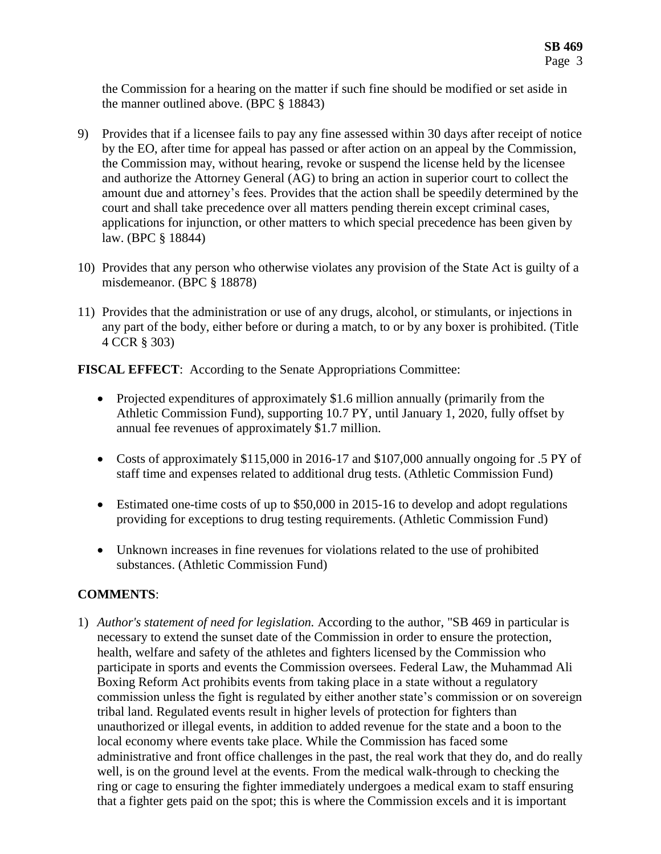the Commission for a hearing on the matter if such fine should be modified or set aside in the manner outlined above. (BPC § 18843)

- 9) Provides that if a licensee fails to pay any fine assessed within 30 days after receipt of notice by the EO, after time for appeal has passed or after action on an appeal by the Commission, the Commission may, without hearing, revoke or suspend the license held by the licensee and authorize the Attorney General (AG) to bring an action in superior court to collect the amount due and attorney's fees. Provides that the action shall be speedily determined by the court and shall take precedence over all matters pending therein except criminal cases, applications for injunction, or other matters to which special precedence has been given by law. (BPC § 18844)
- 10) Provides that any person who otherwise violates any provision of the State Act is guilty of a misdemeanor. (BPC § 18878)
- 11) Provides that the administration or use of any drugs, alcohol, or stimulants, or injections in any part of the body, either before or during a match, to or by any boxer is prohibited. (Title 4 CCR § 303)

**FISCAL EFFECT**: According to the Senate Appropriations Committee:

- Projected expenditures of approximately \$1.6 million annually (primarily from the Athletic Commission Fund), supporting 10.7 PY, until January 1, 2020, fully offset by annual fee revenues of approximately \$1.7 million.
- Costs of approximately \$115,000 in 2016-17 and \$107,000 annually ongoing for .5 PY of staff time and expenses related to additional drug tests. (Athletic Commission Fund)
- Estimated one-time costs of up to \$50,000 in 2015-16 to develop and adopt regulations providing for exceptions to drug testing requirements. (Athletic Commission Fund)
- Unknown increases in fine revenues for violations related to the use of prohibited substances. (Athletic Commission Fund)

# **COMMENTS**:

1) *Author's statement of need for legislation.* According to the author, "SB 469 in particular is necessary to extend the sunset date of the Commission in order to ensure the protection, health, welfare and safety of the athletes and fighters licensed by the Commission who participate in sports and events the Commission oversees. Federal Law, the Muhammad Ali Boxing Reform Act prohibits events from taking place in a state without a regulatory commission unless the fight is regulated by either another state's commission or on sovereign tribal land. Regulated events result in higher levels of protection for fighters than unauthorized or illegal events, in addition to added revenue for the state and a boon to the local economy where events take place. While the Commission has faced some administrative and front office challenges in the past, the real work that they do, and do really well, is on the ground level at the events. From the medical walk-through to checking the ring or cage to ensuring the fighter immediately undergoes a medical exam to staff ensuring that a fighter gets paid on the spot; this is where the Commission excels and it is important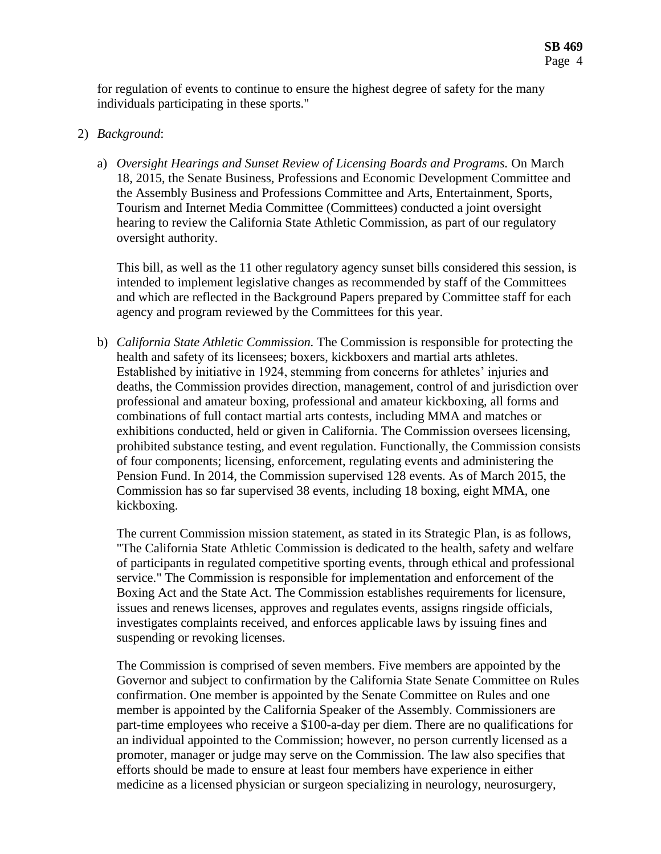for regulation of events to continue to ensure the highest degree of safety for the many individuals participating in these sports."

### 2) *Background*:

a) *Oversight Hearings and Sunset Review of Licensing Boards and Programs.* On March 18, 2015, the Senate Business, Professions and Economic Development Committee and the Assembly Business and Professions Committee and Arts, Entertainment, Sports, Tourism and Internet Media Committee (Committees) conducted a joint oversight hearing to review the California State Athletic Commission, as part of our regulatory oversight authority.

This bill, as well as the 11 other regulatory agency sunset bills considered this session, is intended to implement legislative changes as recommended by staff of the Committees and which are reflected in the Background Papers prepared by Committee staff for each agency and program reviewed by the Committees for this year.

b) *California State Athletic Commission.* The Commission is responsible for protecting the health and safety of its licensees; boxers, kickboxers and martial arts athletes. Established by initiative in 1924, stemming from concerns for athletes' injuries and deaths, the Commission provides direction, management, control of and jurisdiction over professional and amateur boxing, professional and amateur kickboxing, all forms and combinations of full contact martial arts contests, including MMA and matches or exhibitions conducted, held or given in California. The Commission oversees licensing, prohibited substance testing, and event regulation. Functionally, the Commission consists of four components; licensing, enforcement, regulating events and administering the Pension Fund. In 2014, the Commission supervised 128 events. As of March 2015, the Commission has so far supervised 38 events, including 18 boxing, eight MMA, one kickboxing.

The current Commission mission statement, as stated in its Strategic Plan, is as follows, "The California State Athletic Commission is dedicated to the health, safety and welfare of participants in regulated competitive sporting events, through ethical and professional service." The Commission is responsible for implementation and enforcement of the Boxing Act and the State Act. The Commission establishes requirements for licensure, issues and renews licenses, approves and regulates events, assigns ringside officials, investigates complaints received, and enforces applicable laws by issuing fines and suspending or revoking licenses.

The Commission is comprised of seven members. Five members are appointed by the Governor and subject to confirmation by the California State Senate Committee on Rules confirmation. One member is appointed by the Senate Committee on Rules and one member is appointed by the California Speaker of the Assembly. Commissioners are part-time employees who receive a \$100-a-day per diem. There are no qualifications for an individual appointed to the Commission; however, no person currently licensed as a promoter, manager or judge may serve on the Commission. The law also specifies that efforts should be made to ensure at least four members have experience in either medicine as a licensed physician or surgeon specializing in neurology, neurosurgery,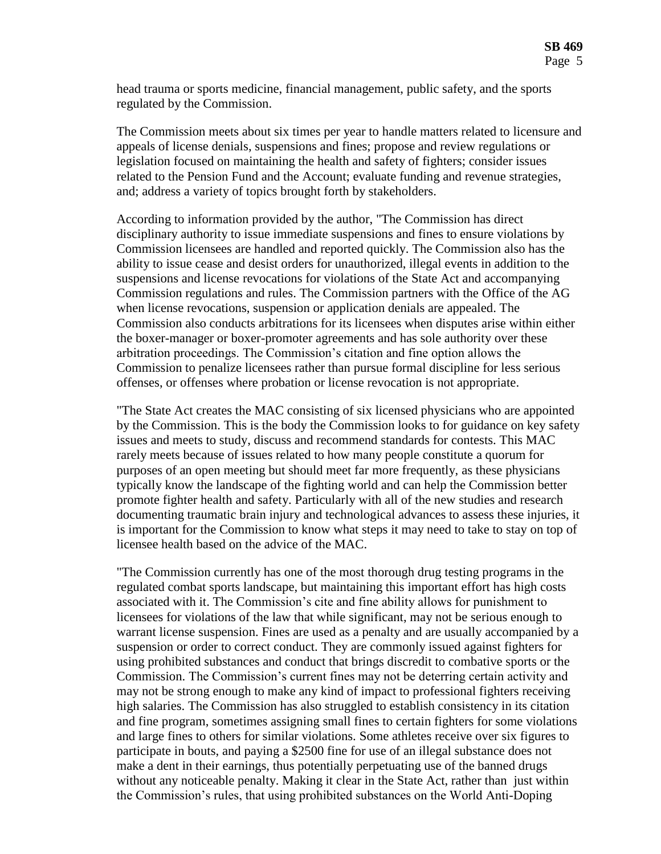head trauma or sports medicine, financial management, public safety, and the sports regulated by the Commission.

The Commission meets about six times per year to handle matters related to licensure and appeals of license denials, suspensions and fines; propose and review regulations or legislation focused on maintaining the health and safety of fighters; consider issues related to the Pension Fund and the Account; evaluate funding and revenue strategies, and; address a variety of topics brought forth by stakeholders.

According to information provided by the author, "The Commission has direct disciplinary authority to issue immediate suspensions and fines to ensure violations by Commission licensees are handled and reported quickly. The Commission also has the ability to issue cease and desist orders for unauthorized, illegal events in addition to the suspensions and license revocations for violations of the State Act and accompanying Commission regulations and rules. The Commission partners with the Office of the AG when license revocations, suspension or application denials are appealed. The Commission also conducts arbitrations for its licensees when disputes arise within either the boxer-manager or boxer-promoter agreements and has sole authority over these arbitration proceedings. The Commission's citation and fine option allows the Commission to penalize licensees rather than pursue formal discipline for less serious offenses, or offenses where probation or license revocation is not appropriate.

"The State Act creates the MAC consisting of six licensed physicians who are appointed by the Commission. This is the body the Commission looks to for guidance on key safety issues and meets to study, discuss and recommend standards for contests. This MAC rarely meets because of issues related to how many people constitute a quorum for purposes of an open meeting but should meet far more frequently, as these physicians typically know the landscape of the fighting world and can help the Commission better promote fighter health and safety. Particularly with all of the new studies and research documenting traumatic brain injury and technological advances to assess these injuries, it is important for the Commission to know what steps it may need to take to stay on top of licensee health based on the advice of the MAC.

"The Commission currently has one of the most thorough drug testing programs in the regulated combat sports landscape, but maintaining this important effort has high costs associated with it. The Commission's cite and fine ability allows for punishment to licensees for violations of the law that while significant, may not be serious enough to warrant license suspension. Fines are used as a penalty and are usually accompanied by a suspension or order to correct conduct. They are commonly issued against fighters for using prohibited substances and conduct that brings discredit to combative sports or the Commission. The Commission's current fines may not be deterring certain activity and may not be strong enough to make any kind of impact to professional fighters receiving high salaries. The Commission has also struggled to establish consistency in its citation and fine program, sometimes assigning small fines to certain fighters for some violations and large fines to others for similar violations. Some athletes receive over six figures to participate in bouts, and paying a \$2500 fine for use of an illegal substance does not make a dent in their earnings, thus potentially perpetuating use of the banned drugs without any noticeable penalty. Making it clear in the State Act, rather than just within the Commission's rules, that using prohibited substances on the World Anti-Doping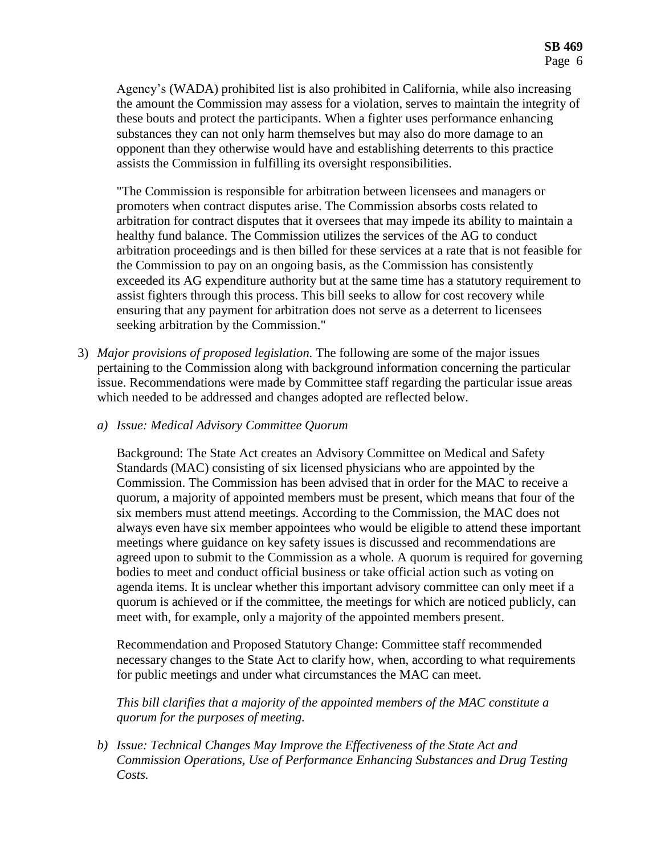Agency's (WADA) prohibited list is also prohibited in California, while also increasing the amount the Commission may assess for a violation, serves to maintain the integrity of these bouts and protect the participants. When a fighter uses performance enhancing substances they can not only harm themselves but may also do more damage to an opponent than they otherwise would have and establishing deterrents to this practice assists the Commission in fulfilling its oversight responsibilities.

"The Commission is responsible for arbitration between licensees and managers or promoters when contract disputes arise. The Commission absorbs costs related to arbitration for contract disputes that it oversees that may impede its ability to maintain a healthy fund balance. The Commission utilizes the services of the AG to conduct arbitration proceedings and is then billed for these services at a rate that is not feasible for the Commission to pay on an ongoing basis, as the Commission has consistently exceeded its AG expenditure authority but at the same time has a statutory requirement to assist fighters through this process. This bill seeks to allow for cost recovery while ensuring that any payment for arbitration does not serve as a deterrent to licensees seeking arbitration by the Commission."

- 3) *Major provisions of proposed legislation.* The following are some of the major issues pertaining to the Commission along with background information concerning the particular issue. Recommendations were made by Committee staff regarding the particular issue areas which needed to be addressed and changes adopted are reflected below.
	- *a) Issue: Medical Advisory Committee Quorum*

Background: The State Act creates an Advisory Committee on Medical and Safety Standards (MAC) consisting of six licensed physicians who are appointed by the Commission. The Commission has been advised that in order for the MAC to receive a quorum, a majority of appointed members must be present, which means that four of the six members must attend meetings. According to the Commission, the MAC does not always even have six member appointees who would be eligible to attend these important meetings where guidance on key safety issues is discussed and recommendations are agreed upon to submit to the Commission as a whole. A quorum is required for governing bodies to meet and conduct official business or take official action such as voting on agenda items. It is unclear whether this important advisory committee can only meet if a quorum is achieved or if the committee, the meetings for which are noticed publicly, can meet with, for example, only a majority of the appointed members present.

Recommendation and Proposed Statutory Change: Committee staff recommended necessary changes to the State Act to clarify how, when, according to what requirements for public meetings and under what circumstances the MAC can meet.

*This bill clarifies that a majority of the appointed members of the MAC constitute a quorum for the purposes of meeting.* 

*b) Issue: Technical Changes May Improve the Effectiveness of the State Act and Commission Operations, Use of Performance Enhancing Substances and Drug Testing Costs.*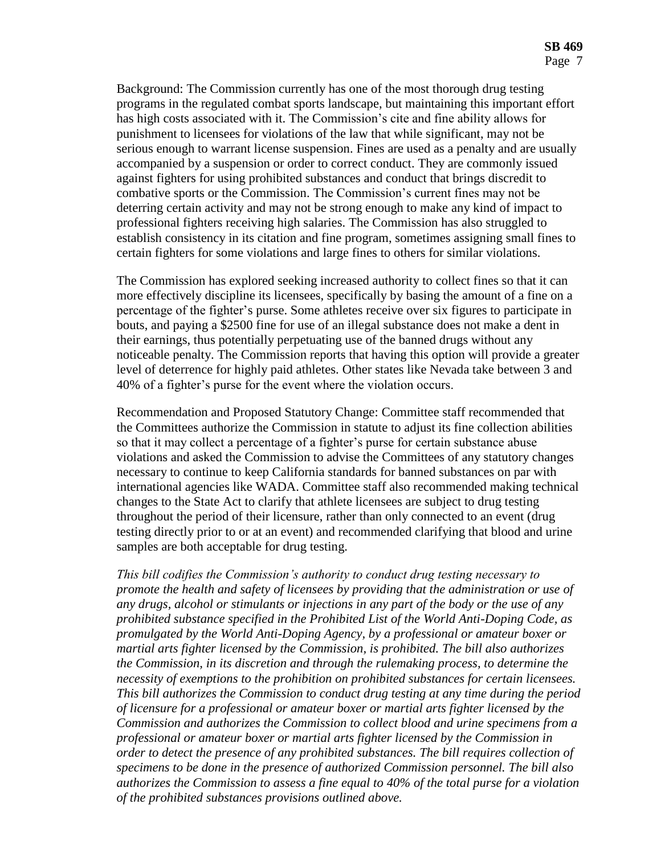Background: The Commission currently has one of the most thorough drug testing programs in the regulated combat sports landscape, but maintaining this important effort has high costs associated with it. The Commission's cite and fine ability allows for punishment to licensees for violations of the law that while significant, may not be serious enough to warrant license suspension. Fines are used as a penalty and are usually accompanied by a suspension or order to correct conduct. They are commonly issued against fighters for using prohibited substances and conduct that brings discredit to combative sports or the Commission. The Commission's current fines may not be deterring certain activity and may not be strong enough to make any kind of impact to professional fighters receiving high salaries. The Commission has also struggled to establish consistency in its citation and fine program, sometimes assigning small fines to certain fighters for some violations and large fines to others for similar violations.

The Commission has explored seeking increased authority to collect fines so that it can more effectively discipline its licensees, specifically by basing the amount of a fine on a percentage of the fighter's purse. Some athletes receive over six figures to participate in bouts, and paying a \$2500 fine for use of an illegal substance does not make a dent in their earnings, thus potentially perpetuating use of the banned drugs without any noticeable penalty. The Commission reports that having this option will provide a greater level of deterrence for highly paid athletes. Other states like Nevada take between 3 and 40% of a fighter's purse for the event where the violation occurs.

Recommendation and Proposed Statutory Change: Committee staff recommended that the Committees authorize the Commission in statute to adjust its fine collection abilities so that it may collect a percentage of a fighter's purse for certain substance abuse violations and asked the Commission to advise the Committees of any statutory changes necessary to continue to keep California standards for banned substances on par with international agencies like WADA. Committee staff also recommended making technical changes to the State Act to clarify that athlete licensees are subject to drug testing throughout the period of their licensure, rather than only connected to an event (drug testing directly prior to or at an event) and recommended clarifying that blood and urine samples are both acceptable for drug testing.

*This bill codifies the Commission's authority to conduct drug testing necessary to promote the health and safety of licensees by providing that the administration or use of any drugs, alcohol or stimulants or injections in any part of the body or the use of any prohibited substance specified in the Prohibited List of the World Anti-Doping Code, as promulgated by the World Anti-Doping Agency, by a professional or amateur boxer or martial arts fighter licensed by the Commission, is prohibited. The bill also authorizes the Commission, in its discretion and through the rulemaking process, to determine the necessity of exemptions to the prohibition on prohibited substances for certain licensees. This bill authorizes the Commission to conduct drug testing at any time during the period of licensure for a professional or amateur boxer or martial arts fighter licensed by the Commission and authorizes the Commission to collect blood and urine specimens from a professional or amateur boxer or martial arts fighter licensed by the Commission in order to detect the presence of any prohibited substances. The bill requires collection of specimens to be done in the presence of authorized Commission personnel. The bill also authorizes the Commission to assess a fine equal to 40% of the total purse for a violation of the prohibited substances provisions outlined above.*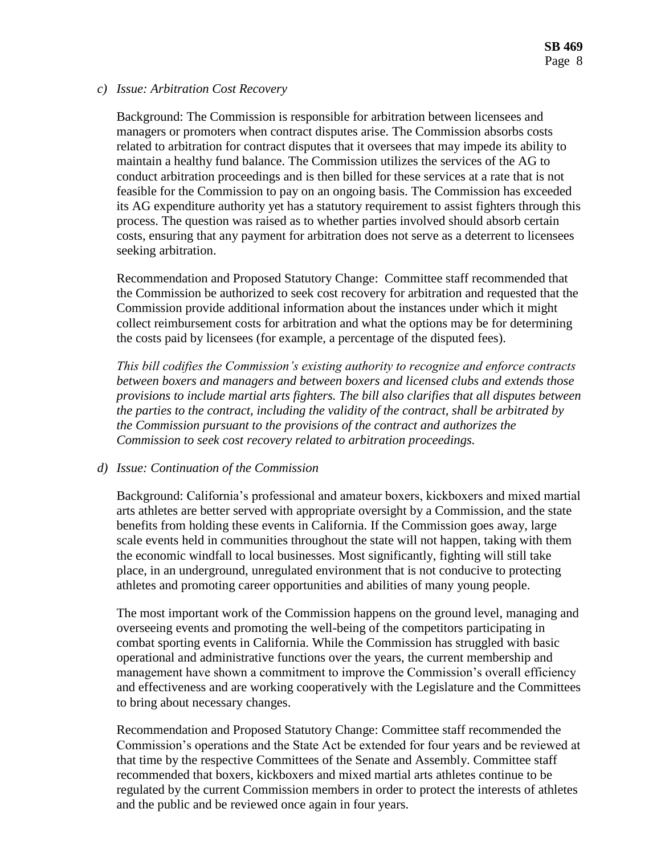#### *c) Issue: Arbitration Cost Recovery*

Background: The Commission is responsible for arbitration between licensees and managers or promoters when contract disputes arise. The Commission absorbs costs related to arbitration for contract disputes that it oversees that may impede its ability to maintain a healthy fund balance. The Commission utilizes the services of the AG to conduct arbitration proceedings and is then billed for these services at a rate that is not feasible for the Commission to pay on an ongoing basis. The Commission has exceeded its AG expenditure authority yet has a statutory requirement to assist fighters through this process. The question was raised as to whether parties involved should absorb certain costs, ensuring that any payment for arbitration does not serve as a deterrent to licensees seeking arbitration.

Recommendation and Proposed Statutory Change: Committee staff recommended that the Commission be authorized to seek cost recovery for arbitration and requested that the Commission provide additional information about the instances under which it might collect reimbursement costs for arbitration and what the options may be for determining the costs paid by licensees (for example, a percentage of the disputed fees).

*This bill codifies the Commission's existing authority to recognize and enforce contracts between boxers and managers and between boxers and licensed clubs and extends those provisions to include martial arts fighters. The bill also clarifies that all disputes between the parties to the contract, including the validity of the contract, shall be arbitrated by the Commission pursuant to the provisions of the contract and authorizes the Commission to seek cost recovery related to arbitration proceedings.*

## *d) Issue: Continuation of the Commission*

Background: California's professional and amateur boxers, kickboxers and mixed martial arts athletes are better served with appropriate oversight by a Commission, and the state benefits from holding these events in California. If the Commission goes away, large scale events held in communities throughout the state will not happen, taking with them the economic windfall to local businesses. Most significantly, fighting will still take place, in an underground, unregulated environment that is not conducive to protecting athletes and promoting career opportunities and abilities of many young people.

The most important work of the Commission happens on the ground level, managing and overseeing events and promoting the well-being of the competitors participating in combat sporting events in California. While the Commission has struggled with basic operational and administrative functions over the years, the current membership and management have shown a commitment to improve the Commission's overall efficiency and effectiveness and are working cooperatively with the Legislature and the Committees to bring about necessary changes.

Recommendation and Proposed Statutory Change: Committee staff recommended the Commission's operations and the State Act be extended for four years and be reviewed at that time by the respective Committees of the Senate and Assembly. Committee staff recommended that boxers, kickboxers and mixed martial arts athletes continue to be regulated by the current Commission members in order to protect the interests of athletes and the public and be reviewed once again in four years.